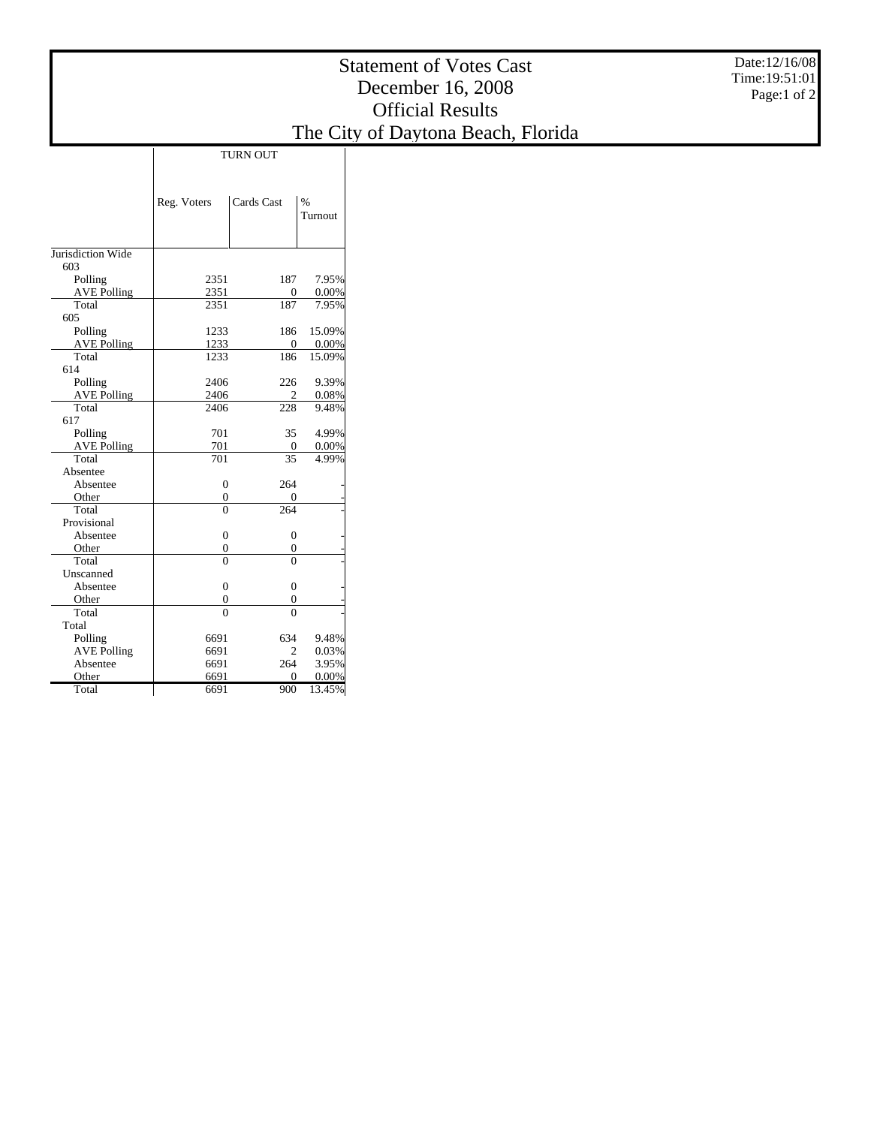|                               |                                      |                                      |                 | <b>Statement of Votes Cast</b><br>December 16, 2008<br><b>Official Results</b> | Date:12/16/08<br>Time: 19:51:01<br>Page:1 of 2 |
|-------------------------------|--------------------------------------|--------------------------------------|-----------------|--------------------------------------------------------------------------------|------------------------------------------------|
|                               |                                      |                                      |                 | The City of Daytona Beach, Florida                                             |                                                |
|                               |                                      | <b>TURN OUT</b>                      |                 |                                                                                |                                                |
|                               | Reg. Voters                          | Cards Cast                           | $\%$<br>Turnout |                                                                                |                                                |
| Jurisdiction Wide<br>603      |                                      |                                      |                 |                                                                                |                                                |
| Polling<br><b>AVE Polling</b> | 2351<br>2351                         | 187<br>$\boldsymbol{0}$              | 7.95%<br>0.00%  |                                                                                |                                                |
| Total<br>605                  | 2351                                 | 187                                  | 7.95%           |                                                                                |                                                |
| Polling<br><b>AVE Polling</b> | 1233<br>1233                         | 186<br>$\mathbf{0}$                  | 15.09%<br>0.00% |                                                                                |                                                |
| Total<br>614                  | 1233                                 | 186                                  | 15.09%          |                                                                                |                                                |
| Polling<br><b>AVE Polling</b> | 2406<br>2406                         | 226<br>$\overline{c}$                | 9.39%<br>0.08%  |                                                                                |                                                |
| Total<br>617                  | 2406                                 | 228                                  | 9.48%           |                                                                                |                                                |
| Polling<br><b>AVE Polling</b> | 701<br>701                           | 35<br>$\mathbf{0}$                   | 4.99%<br>0.00%  |                                                                                |                                                |
| Total<br>Absentee             | $\overline{701}$                     | 35                                   | 4.99%           |                                                                                |                                                |
| Absentee<br>Other             | $\boldsymbol{0}$<br>$\boldsymbol{0}$ | 264<br>$\boldsymbol{0}$              |                 |                                                                                |                                                |
| Total<br>Provisional          | $\overline{0}$                       | 264                                  |                 |                                                                                |                                                |
| Absentee<br>Other             | $\boldsymbol{0}$<br>$\boldsymbol{0}$ | $\boldsymbol{0}$<br>$\boldsymbol{0}$ |                 |                                                                                |                                                |
| Total<br>Unscanned            | $\overline{0}$                       | $\overline{0}$                       |                 |                                                                                |                                                |
| Absentee<br>Other             | $\boldsymbol{0}$<br>$\overline{0}$   | $\boldsymbol{0}$<br>$\mathbf{0}$     |                 |                                                                                |                                                |
| Total<br>Total                | $\Omega$                             | $\overline{0}$                       |                 |                                                                                |                                                |
| Polling                       | 6691                                 | 634                                  | 9.48%           |                                                                                |                                                |

 AVE Polling Absentee **Other** Total

6691 2 0.03% 6691 264 3.95% 6691 0 0.00% 6691 900 13.45%